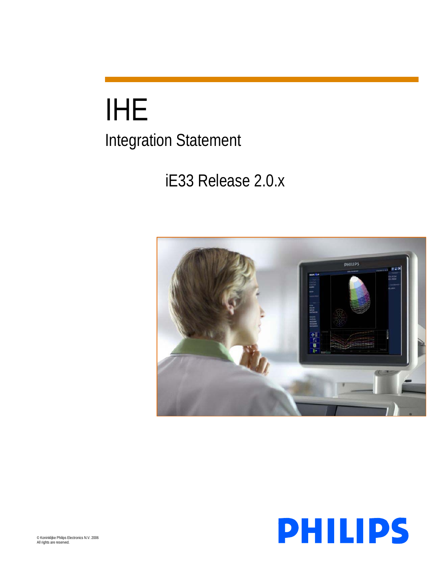# IHE Integration Statement

# iE33 Release 2.0.x



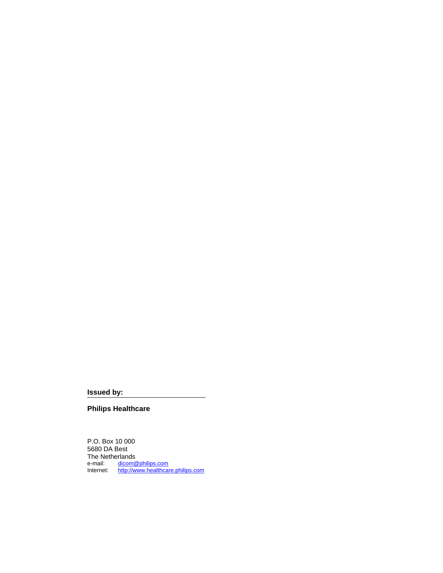**Issued by:** 

**Philips Healthcare**

P.O. Box 10 000 5680 DA Best The Netherlands<br>e-mail: dicom@ e-mail: [dicom@philips.com](mailto:dicom@philips.com) Internet: [http://www.healthcare.philips.com](http://www.healthcare.philips.com/)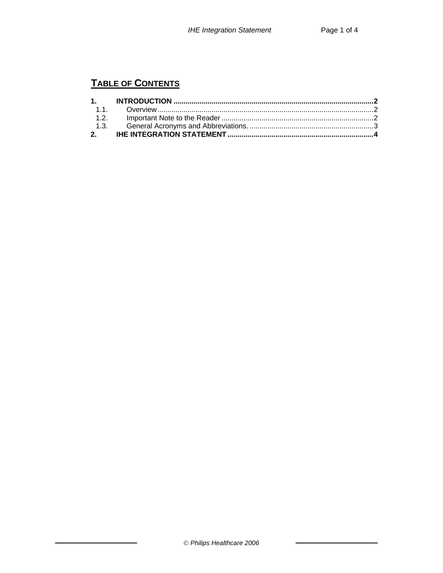# **TABLE OF CONTENTS**

×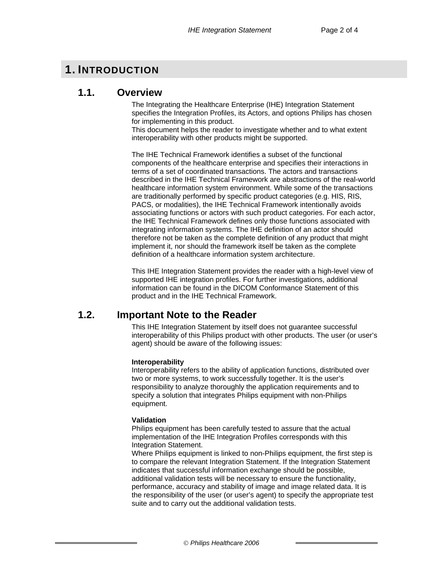# <span id="page-3-0"></span>**1. INTRODUCTION**

## **1.1. Overview**

The Integrating the Healthcare Enterprise (IHE) Integration Statement specifies the Integration Profiles, its Actors, and options Philips has chosen for implementing in this product.

This document helps the reader to investigate whether and to what extent interoperability with other products might be supported.

The IHE Technical Framework identifies a subset of the functional components of the healthcare enterprise and specifies their interactions in terms of a set of coordinated transactions. The actors and transactions described in the IHE Technical Framework are abstractions of the real-world healthcare information system environment. While some of the transactions are traditionally performed by specific product categories (e.g. HIS, RIS, PACS, or modalities), the IHE Technical Framework intentionally avoids associating functions or actors with such product categories. For each actor, the IHE Technical Framework defines only those functions associated with integrating information systems. The IHE definition of an actor should therefore not be taken as the complete definition of any product that might implement it, nor should the framework itself be taken as the complete definition of a healthcare information system architecture.

This IHE Integration Statement provides the reader with a high-level view of supported IHE integration profiles. For further investigations, additional information can be found in the DICOM Conformance Statement of this product and in the IHE Technical Framework.

### **1.2. Important Note to the Reader**

This IHE Integration Statement by itself does not guarantee successful interoperability of this Philips product with other products. The user (or user's agent) should be aware of the following issues:

#### **Interoperability**

Interoperability refers to the ability of application functions, distributed over two or more systems, to work successfully together. It is the user's responsibility to analyze thoroughly the application requirements and to specify a solution that integrates Philips equipment with non-Philips equipment.

#### **Validation**

Philips equipment has been carefully tested to assure that the actual implementation of the IHE Integration Profiles corresponds with this Integration Statement.

Where Philips equipment is linked to non-Philips equipment, the first step is to compare the relevant Integration Statement. If the Integration Statement indicates that successful information exchange should be possible, additional validation tests will be necessary to ensure the functionality, performance, accuracy and stability of image and image related data. It is the responsibility of the user (or user's agent) to specify the appropriate test suite and to carry out the additional validation tests.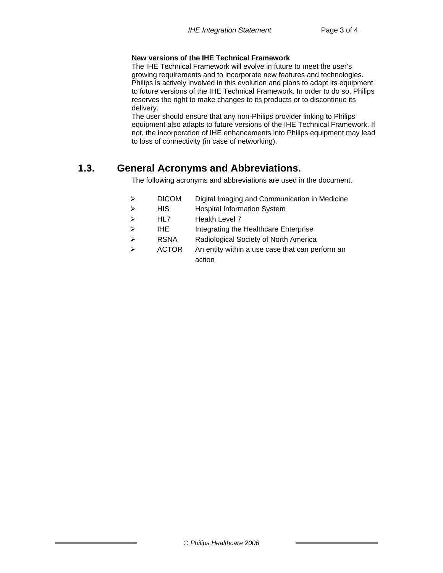#### <span id="page-4-0"></span>**New versions of the IHE Technical Framework**

The IHE Technical Framework will evolve in future to meet the user's growing requirements and to incorporate new features and technologies. Philips is actively involved in this evolution and plans to adapt its equipment to future versions of the IHE Technical Framework. In order to do so, Philips reserves the right to make changes to its products or to discontinue its delivery.

The user should ensure that any non-Philips provider linking to Philips equipment also adapts to future versions of the IHE Technical Framework. If not, the incorporation of IHE enhancements into Philips equipment may lead to loss of connectivity (in case of networking).

# **1.3. General Acronyms and Abbreviations.**

The following acronyms and abbreviations are used in the document.

- ¾ DICOM Digital Imaging and Communication in Medicine
- ¾ HIS Hospital Information System
- ¾ HL7 Health Level 7
- ¾ IHE Integrating the Healthcare Enterprise
- ¾ RSNA Radiological Society of North America
- $\triangleright$  ACTOR An entity within a use case that can perform an action